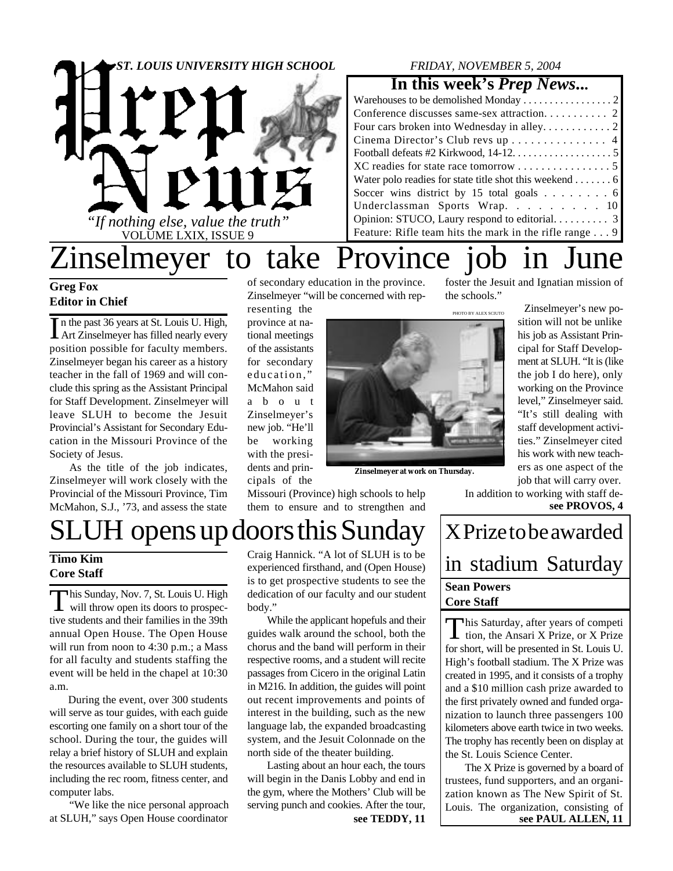

## *FRIDAY, NOVEMBER 5, 2004*

## **In this week's** *Prep News***...**

| Warehouses to be demolished Monday $\ldots \ldots \ldots \ldots \ldots$ |
|-------------------------------------------------------------------------|
|                                                                         |
|                                                                         |
| Cinema Director's Club revs up 4                                        |
|                                                                         |
|                                                                         |
| Water polo readies for state title shot this weekend $\dots \dots 6$    |
| Soccer wins district by 15 total goals 6                                |
| Underclassman Sports Wrap. 10                                           |
|                                                                         |
| Feature: Rifle team hits the mark in the rifle range $\dots$ 9          |
|                                                                         |

the schools."

## Zinselmeyer to take Province job in June foster the Jesuit and Ignatian mission of

## **Greg Fox Editor in Chief**

In the past 36 years at St. Louis U. High,<br>Art Zinselmeyer has filled nearly every Art Zinselmeyer has filled nearly every position possible for faculty members. Zinselmeyer began his career as a history teacher in the fall of 1969 and will conclude this spring as the Assistant Principal for Staff Development. Zinselmeyer will leave SLUH to become the Jesuit Provincial's Assistant for Secondary Education in the Missouri Province of the Society of Jesus.

As the title of the job indicates, Zinselmeyer will work closely with the Provincial of the Missouri Province, Tim McMahon, S.J., '73, and assess the state

of secondary education in the province. Zinselmeyer "will be concerned with rep-

resenting the province at national meetings of the assistants for secondary education," McMahon said a b o u t Zinselmeyer's new job. "He'll be working with the presidents and principals of the



**Zinselmeyer at work on Thursday.**

"It's still dealing with staff development activities." Zinselmeyer cited his work with new teachers as one aspect of the job that will carry over.

Zinselmeyer's new position will not be unlike his job as Assistant Principal for Staff Development at SLUH. "It is (like the job I do here), only working on the Province level," Zinselmeyer said.

In addition to working with staff de**see PROVOS, 4**

# UH opens up doors this Sunday  $|X$  Prize to be awarded

**Core Staff**

This Sunday, Nov. 7, St. Louis U. High<br>will throw open its doors to prospechis Sunday, Nov. 7, St. Louis U. High tive students and their families in the 39th annual Open House. The Open House will run from noon to 4:30 p.m.; a Mass for all faculty and students staffing the event will be held in the chapel at 10:30 a.m.

During the event, over 300 students will serve as tour guides, with each guide escorting one family on a short tour of the school. During the tour, the guides will relay a brief history of SLUH and explain the resources available to SLUH students, including the rec room, fitness center, and computer labs.

"We like the nice personal approach at SLUH," says Open House coordinator

Timo Kim Craig Hannick. "A lot of SLUH is to be **interpretence of the Stadium Saturday** Craig Hannick. "A lot of SLUH is to be experienced firsthand, and (Open House) is to get prospective students to see the dedication of our faculty and our student body."

Missouri (Province) high schools to help them to ensure and to strengthen and

While the applicant hopefuls and their guides walk around the school, both the chorus and the band will perform in their respective rooms, and a student will recite passages from Cicero in the original Latin in M216. In addition, the guides will point out recent improvements and points of interest in the building, such as the new language lab, the expanded broadcasting system, and the Jesuit Colonnade on the north side of the theater building.

Lasting about an hour each, the tours will begin in the Danis Lobby and end in the gym, where the Mothers' Club will be serving punch and cookies. After the tour,

# **Sean Powers Core Staff**

This Saturday, after years of competition, the Ansari X Prize, or X Prize his Saturday, after years of competi for short, will be presented in St. Louis U. High's football stadium. The X Prize was created in 1995, and it consists of a trophy and a \$10 million cash prize awarded to the first privately owned and funded organization to launch three passengers 100 kilometers above earth twice in two weeks. The trophy has recently been on display at the St. Louis Science Center.

**see TEDDY, 11 see PAUL ALLEN, 11** The X Prize is governed by a board of trustees, fund supporters, and an organization known as The New Spirit of St. Louis. The organization, consisting of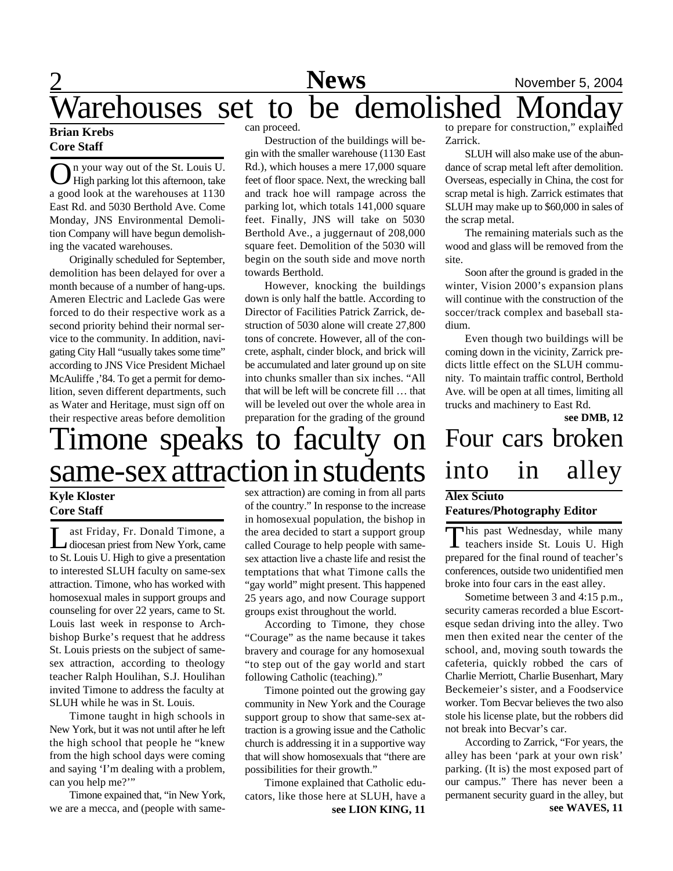## 2 **News** November 5, 2004 Tarehouses set to be demolished

## **Brian Krebs Core Staff**

O n your way out of the St. Louis U. High parking lot this afternoon, take a good look at the warehouses at 1130 East Rd. and 5030 Berthold Ave. Come Monday, JNS Environmental Demolition Company will have begun demolishing the vacated warehouses.

Originally scheduled for September, demolition has been delayed for over a month because of a number of hang-ups. Ameren Electric and Laclede Gas were forced to do their respective work as a second priority behind their normal service to the community. In addition, navigating City Hall "usually takes some time" according to JNS Vice President Michael McAuliffe ,'84. To get a permit for demolition, seven different departments, such as Water and Heritage, must sign off on their respective areas before demolition

can proceed.

Destruction of the buildings will begin with the smaller warehouse (1130 East Rd.), which houses a mere 17,000 square feet of floor space. Next, the wrecking ball and track hoe will rampage across the parking lot, which totals 141,000 square feet. Finally, JNS will take on 5030 Berthold Ave., a juggernaut of 208,000 square feet. Demolition of the 5030 will begin on the south side and move north towards Berthold.

However, knocking the buildings down is only half the battle. According to Director of Facilities Patrick Zarrick, destruction of 5030 alone will create 27,800 tons of concrete. However, all of the concrete, asphalt, cinder block, and brick will be accumulated and later ground up on site into chunks smaller than six inches. "All that will be left will be concrete fill … that will be leveled out over the whole area in preparation for the grading of the ground

# Timone speaks to faculty on same-sex attraction in students

## **Kyle Kloster Core Staff**

L ast Friday, Fr. Donald Timone, a diocesan priest from New York, came to St. Louis U. High to give a presentation to interested SLUH faculty on same-sex attraction. Timone, who has worked with homosexual males in support groups and counseling for over 22 years, came to St. Louis last week in response to Archbishop Burke's request that he address St. Louis priests on the subject of samesex attraction, according to theology teacher Ralph Houlihan, S.J. Houlihan invited Timone to address the faculty at SLUH while he was in St. Louis.

Timone taught in high schools in New York, but it was not until after he left the high school that people he "knew from the high school days were coming and saying 'I'm dealing with a problem, can you help me?'"

Timone expained that, "in New York, we are a mecca, and (people with samesex attraction) are coming in from all parts of the country." In response to the increase in homosexual population, the bishop in the area decided to start a support group called Courage to help people with samesex attaction live a chaste life and resist the temptations that what Timone calls the "gay world" might present. This happened 25 years ago, and now Courage support groups exist throughout the world.

According to Timone, they chose "Courage" as the name because it takes bravery and courage for any homosexual "to step out of the gay world and start following Catholic (teaching)."

Timone pointed out the growing gay community in New York and the Courage support group to show that same-sex attraction is a growing issue and the Catholic church is addressing it in a supportive way that will show homosexuals that "there are possibilities for their growth."

**see LION KING, 11** Timone explained that Catholic educators, like those here at SLUH, have a

to prepare for construction," explained Zarrick.

SLUH will also make use of the abundance of scrap metal left after demolition. Overseas, especially in China, the cost for scrap metal is high. Zarrick estimates that SLUH may make up to \$60,000 in sales of the scrap metal.

The remaining materials such as the wood and glass will be removed from the site.

Soon after the ground is graded in the winter, Vision 2000's expansion plans will continue with the construction of the soccer/track complex and baseball stadium.

Even though two buildings will be coming down in the vicinity, Zarrick predicts little effect on the SLUH community. To maintain traffic control, Berthold Ave. will be open at all times, limiting all trucks and machinery to East Rd.

**see DMB, 12**

# Four cars broken into in alley

## **Alex Sciuto**

### **Features/Photography Editor**

This past Wednesday, while many<br>teachers inside St. Louis U. High  $\perp$  teachers inside St. Louis U. High prepared for the final round of teacher's conferences, outside two unidentified men broke into four cars in the east alley.

Sometime between 3 and 4:15 p.m., security cameras recorded a blue Escortesque sedan driving into the alley. Two men then exited near the center of the school, and, moving south towards the cafeteria, quickly robbed the cars of Charlie Merriott, Charlie Busenhart, Mary Beckemeier's sister, and a Foodservice worker. Tom Becvar believes the two also stole his license plate, but the robbers did not break into Becvar's car.

According to Zarrick, "For years, the alley has been 'park at your own risk' parking. (It is) the most exposed part of our campus." There has never been a permanent security guard in the alley, but **see WAVES, 11**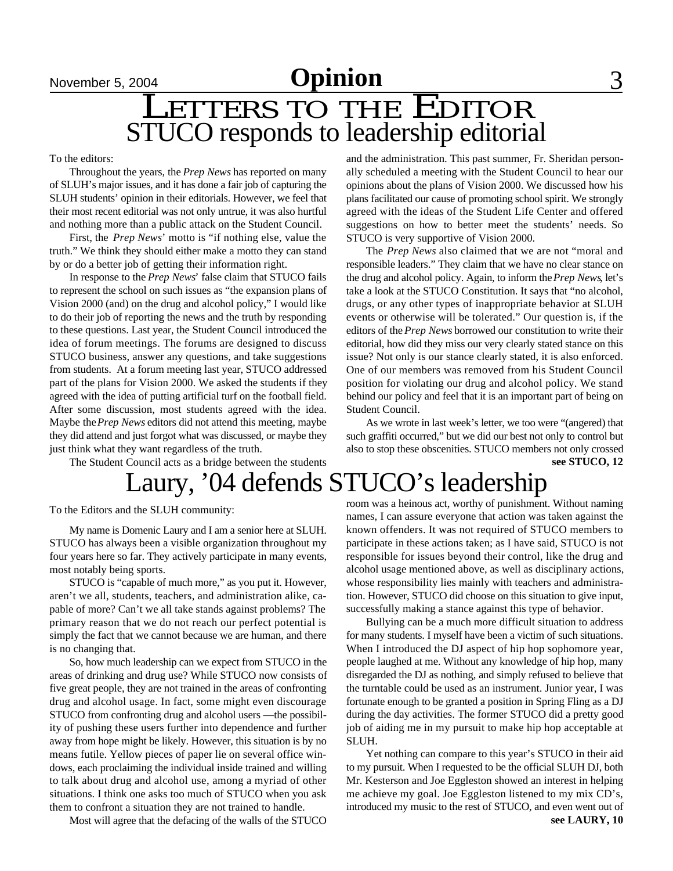# LETTERS TO THE EDITOR STUCO responds to leadership editorial

To the editors:

Throughout the years, the *Prep News* has reported on many of SLUH's major issues, and it has done a fair job of capturing the SLUH students' opinion in their editorials. However, we feel that their most recent editorial was not only untrue, it was also hurtful and nothing more than a public attack on the Student Council.

First, the *Prep News*' motto is "if nothing else, value the truth." We think they should either make a motto they can stand by or do a better job of getting their information right.

In response to the *Prep News*' false claim that STUCO fails to represent the school on such issues as "the expansion plans of Vision 2000 (and) on the drug and alcohol policy," I would like to do their job of reporting the news and the truth by responding to these questions. Last year, the Student Council introduced the idea of forum meetings. The forums are designed to discuss STUCO business, answer any questions, and take suggestions from students. At a forum meeting last year, STUCO addressed part of the plans for Vision 2000. We asked the students if they agreed with the idea of putting artificial turf on the football field. After some discussion, most students agreed with the idea. Maybe the *Prep News* editors did not attend this meeting, maybe they did attend and just forgot what was discussed, or maybe they just think what they want regardless of the truth.

The Student Council acts as a bridge between the students

# Laury, '04 defends STUCO's leadership

To the Editors and the SLUH community:

My name is Domenic Laury and I am a senior here at SLUH. STUCO has always been a visible organization throughout my four years here so far. They actively participate in many events, most notably being sports.

STUCO is "capable of much more," as you put it. However, aren't we all, students, teachers, and administration alike, capable of more? Can't we all take stands against problems? The primary reason that we do not reach our perfect potential is simply the fact that we cannot because we are human, and there is no changing that.

So, how much leadership can we expect from STUCO in the areas of drinking and drug use? While STUCO now consists of five great people, they are not trained in the areas of confronting drug and alcohol usage. In fact, some might even discourage STUCO from confronting drug and alcohol users —the possibility of pushing these users further into dependence and further away from hope might be likely. However, this situation is by no means futile. Yellow pieces of paper lie on several office windows, each proclaiming the individual inside trained and willing to talk about drug and alcohol use, among a myriad of other situations. I think one asks too much of STUCO when you ask them to confront a situation they are not trained to handle.

Most will agree that the defacing of the walls of the STUCO

and the administration. This past summer, Fr. Sheridan personally scheduled a meeting with the Student Council to hear our opinions about the plans of Vision 2000. We discussed how his plans facilitated our cause of promoting school spirit. We strongly agreed with the ideas of the Student Life Center and offered suggestions on how to better meet the students' needs. So STUCO is very supportive of Vision 2000.

The *Prep News* also claimed that we are not "moral and responsible leaders." They claim that we have no clear stance on the drug and alcohol policy. Again, to inform the *Prep News*, let's take a look at the STUCO Constitution. It says that "no alcohol, drugs, or any other types of inappropriate behavior at SLUH events or otherwise will be tolerated." Our question is, if the editors of the *Prep News* borrowed our constitution to write their editorial, how did they miss our very clearly stated stance on this issue? Not only is our stance clearly stated, it is also enforced. One of our members was removed from his Student Council position for violating our drug and alcohol policy. We stand behind our policy and feel that it is an important part of being on Student Council.

As we wrote in last week's letter, we too were "(angered) that such graffiti occurred," but we did our best not only to control but also to stop these obscenities. STUCO members not only crossed **see STUCO, 12**

room was a heinous act, worthy of punishment. Without naming names, I can assure everyone that action was taken against the known offenders. It was not required of STUCO members to participate in these actions taken; as I have said, STUCO is not responsible for issues beyond their control, like the drug and alcohol usage mentioned above, as well as disciplinary actions, whose responsibility lies mainly with teachers and administration. However, STUCO did choose on this situation to give input, successfully making a stance against this type of behavior.

Bullying can be a much more difficult situation to address for many students. I myself have been a victim of such situations. When I introduced the DJ aspect of hip hop sophomore year, people laughed at me. Without any knowledge of hip hop, many disregarded the DJ as nothing, and simply refused to believe that the turntable could be used as an instrument. Junior year, I was fortunate enough to be granted a position in Spring Fling as a DJ during the day activities. The former STUCO did a pretty good job of aiding me in my pursuit to make hip hop acceptable at SLUH.

Yet nothing can compare to this year's STUCO in their aid to my pursuit. When I requested to be the official SLUH DJ, both Mr. Kesterson and Joe Eggleston showed an interest in helping me achieve my goal. Joe Eggleston listened to my mix CD's, introduced my music to the rest of STUCO, and even went out of **see LAURY, 10**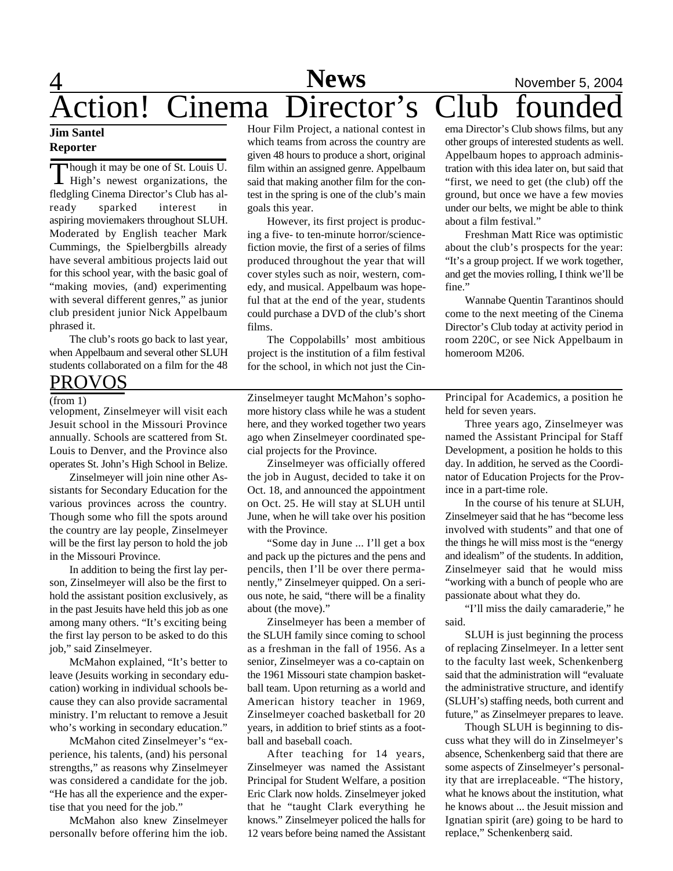## $\overline{4}$ **News**<br> **November 5, 2004**<br> **Director's Club founded** Action! Cinema Director's Club founded

### **Jim Santel Reporter**

Though it may be one of St. Louis U.<br>High's newest organizations, the hough it may be one of St. Louis U. fledgling Cinema Director's Club has already sparked interest in aspiring moviemakers throughout SLUH. Moderated by English teacher Mark Cummings, the Spielbergbills already have several ambitious projects laid out for this school year, with the basic goal of "making movies, (and) experimenting with several different genres," as junior club president junior Nick Appelbaum phrased it.

The club's roots go back to last year, when Appelbaum and several other SLUH students collaborated on a film for the 48

## PROVOS

### (from  $\overline{1}$ )

velopment, Zinselmeyer will visit each Jesuit school in the Missouri Province annually. Schools are scattered from St. Louis to Denver, and the Province also operates St. John's High School in Belize.

Zinselmeyer will join nine other Assistants for Secondary Education for the various provinces across the country. Though some who fill the spots around the country are lay people, Zinselmeyer will be the first lay person to hold the job in the Missouri Province.

In addition to being the first lay person, Zinselmeyer will also be the first to hold the assistant position exclusively, as in the past Jesuits have held this job as one among many others. "It's exciting being the first lay person to be asked to do this job," said Zinselmeyer.

McMahon explained, "It's better to leave (Jesuits working in secondary education) working in individual schools because they can also provide sacramental ministry. I'm reluctant to remove a Jesuit who's working in secondary education."

McMahon cited Zinselmeyer's "experience, his talents, (and) his personal strengths," as reasons why Zinselmeyer was considered a candidate for the job. "He has all the experience and the expertise that you need for the job."

McMahon also knew Zinselmeyer personally before offering him the job.

Hour Film Project, a national contest in which teams from across the country are given 48 hours to produce a short, original film within an assigned genre. Appelbaum said that making another film for the contest in the spring is one of the club's main goals this year.

However, its first project is producing a five- to ten-minute horror/sciencefiction movie, the first of a series of films produced throughout the year that will cover styles such as noir, western, comedy, and musical. Appelbaum was hopeful that at the end of the year, students could purchase a DVD of the club's short films.

The Coppolabills' most ambitious project is the institution of a film festival for the school, in which not just the Cin-

Zinselmeyer taught McMahon's sophomore history class while he was a student here, and they worked together two years ago when Zinselmeyer coordinated special projects for the Province.

Zinselmeyer was officially offered the job in August, decided to take it on Oct. 18, and announced the appointment on Oct. 25. He will stay at SLUH until June, when he will take over his position with the Province.

"Some day in June ... I'll get a box and pack up the pictures and the pens and pencils, then I'll be over there permanently," Zinselmeyer quipped. On a serious note, he said, "there will be a finality about (the move)."

Zinselmeyer has been a member of the SLUH family since coming to school as a freshman in the fall of 1956. As a senior, Zinselmeyer was a co-captain on the 1961 Missouri state champion basketball team. Upon returning as a world and American history teacher in 1969, Zinselmeyer coached basketball for 20 years, in addition to brief stints as a football and baseball coach.

After teaching for 14 years, Zinselmeyer was named the Assistant Principal for Student Welfare, a position Eric Clark now holds. Zinselmeyer joked that he "taught Clark everything he knows." Zinselmeyer policed the halls for 12 years before being named the Assistant

ema Director's Club shows films, but any other groups of interested students as well. Appelbaum hopes to approach administration with this idea later on, but said that "first, we need to get (the club) off the ground, but once we have a few movies under our belts, we might be able to think about a film festival."

Freshman Matt Rice was optimistic about the club's prospects for the year: "It's a group project. If we work together, and get the movies rolling, I think we'll be fine."

Wannabe Quentin Tarantinos should come to the next meeting of the Cinema Director's Club today at activity period in room 220C, or see Nick Appelbaum in homeroom M206.

Principal for Academics, a position he held for seven years.

Three years ago, Zinselmeyer was named the Assistant Principal for Staff Development, a position he holds to this day. In addition, he served as the Coordinator of Education Projects for the Province in a part-time role.

In the course of his tenure at SLUH, Zinselmeyer said that he has "become less involved with students" and that one of the things he will miss most is the "energy and idealism" of the students. In addition, Zinselmeyer said that he would miss "working with a bunch of people who are passionate about what they do.

"I'll miss the daily camaraderie," he said.

SLUH is just beginning the process of replacing Zinselmeyer. In a letter sent to the faculty last week, Schenkenberg said that the administration will "evaluate the administrative structure, and identify (SLUH's) staffing needs, both current and future," as Zinselmeyer prepares to leave.

Though SLUH is beginning to discuss what they will do in Zinselmeyer's absence, Schenkenberg said that there are some aspects of Zinselmeyer's personality that are irreplaceable. "The history, what he knows about the institution, what he knows about ... the Jesuit mission and Ignatian spirit (are) going to be hard to replace," Schenkenberg said.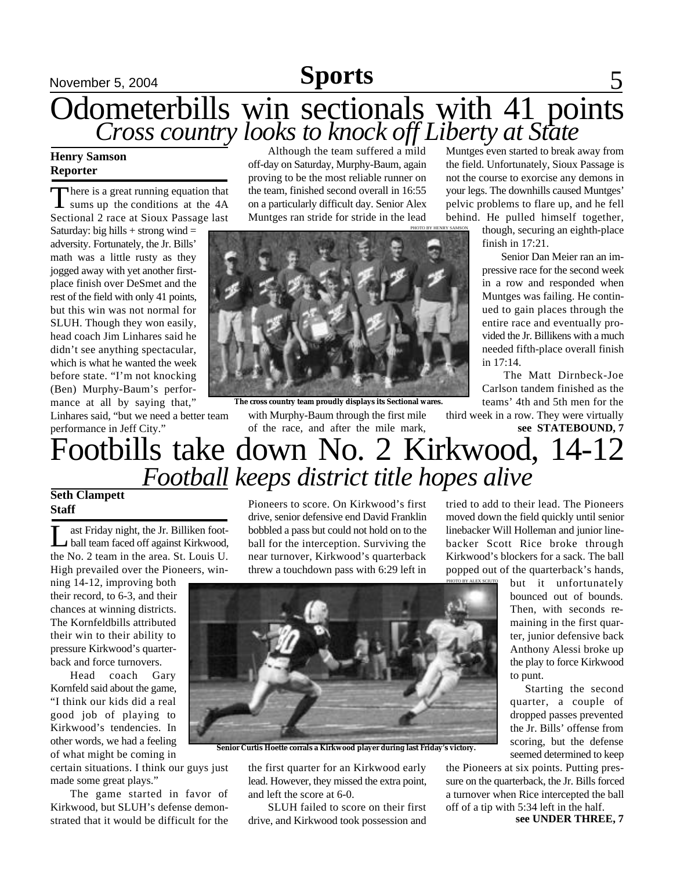## **Sports**

# November 5, 2004 **Sports** 5 Odometerbills win sectionals with 41 points *Cross country looks to knock off Liberty at State*

## **Henry Samson Reporter**

There is a great running equation that<br>sums up the conditions at the 4A here is a great running equation that Sectional 2 race at Sioux Passage last

Saturday: big hills  $+$  strong wind  $=$ adversity. Fortunately, the Jr. Bills' math was a little rusty as they jogged away with yet another firstplace finish over DeSmet and the rest of the field with only 41 points, but this win was not normal for SLUH. Though they won easily, head coach Jim Linhares said he didn't see anything spectacular, which is what he wanted the week before state. "I'm not knocking (Ben) Murphy-Baum's performance at all by saying that,"

Linhares said, "but we need a better team

Although the team suffered a mild off-day on Saturday, Murphy-Baum, again proving to be the most reliable runner on the team, finished second overall in 16:55 on a particularly difficult day. Senior Alex Muntges ran stride for stride in the lead



with Murphy-Baum through the first mile of the race, and after the mile mark, **The cross country team proudly displays its Sectional wares.**

Muntges even started to break away from the field. Unfortunately, Sioux Passage is not the course to exorcise any demons in your legs. The downhills caused Muntges' pelvic problems to flare up, and he fell behind. He pulled himself together,

though, securing an eighth-place finish in 17:21.

 Senior Dan Meier ran an impressive race for the second week in a row and responded when Muntges was failing. He continued to gain places through the entire race and eventually provided the Jr. Billikens with a much needed fifth-place overall finish in 17:14.

The Matt Dirnbeck-Joe Carlson tandem finished as the teams' 4th and 5th men for the

third week in a row. They were virtually

## *Football keeps district title hopes alive* **Seth Clampett** performance in Jeff City." Footbills take down No. 2 Kirkwood, 14-12 **see STATEBOUND, 7**

## **Staff**

Let Triday night, the Jr. Billiken foot-<br>ball team faced off against Kirkwood,<br>the No. 2 team in the area. St. Louis U. ast Friday night, the Jr. Billiken football team faced off against Kirkwood, High prevailed over the Pioneers, win-

ning 14-12, improving both their record, to 6-3, and their chances at winning districts. The Kornfeldbills attributed their win to their ability to pressure Kirkwood's quarterback and force turnovers.

Head coach Gary Kornfeld said about the game, "I think our kids did a real good job of playing to Kirkwood's tendencies. In other words, we had a feeling of what might be coming in

certain situations. I think our guys just made some great plays."

The game started in favor of Kirkwood, but SLUH's defense demonstrated that it would be difficult for the

Pioneers to score. On Kirkwood's first drive, senior defensive end David Franklin bobbled a pass but could not hold on to the ball for the interception. Surviving the near turnover, Kirkwood's quarterback threw a touchdown pass with 6:29 left in



PHOTO BY ALEX SCIUTO

PHOTO BY HENRY SAMSON

but it unfortunately bounced out of bounds. Then, with seconds remaining in the first quarter, junior defensive back Anthony Alessi broke up the play to force Kirkwood to punt.

Starting the second quarter, a couple of dropped passes prevented the Jr. Bills' offense from scoring, but the defense seemed determined to keep

the first quarter for an Kirkwood early lead. However, they missed the extra point, and left the score at 6-0.

**Senior Curtis Hoette corrals a Kirkwood player during last Friday's victory.**

SLUH failed to score on their first drive, and Kirkwood took possession and

the Pioneers at six points. Putting pressure on the quarterback, the Jr. Bills forced a turnover when Rice intercepted the ball off of a tip with 5:34 left in the half.

**see UNDER THREE, 7**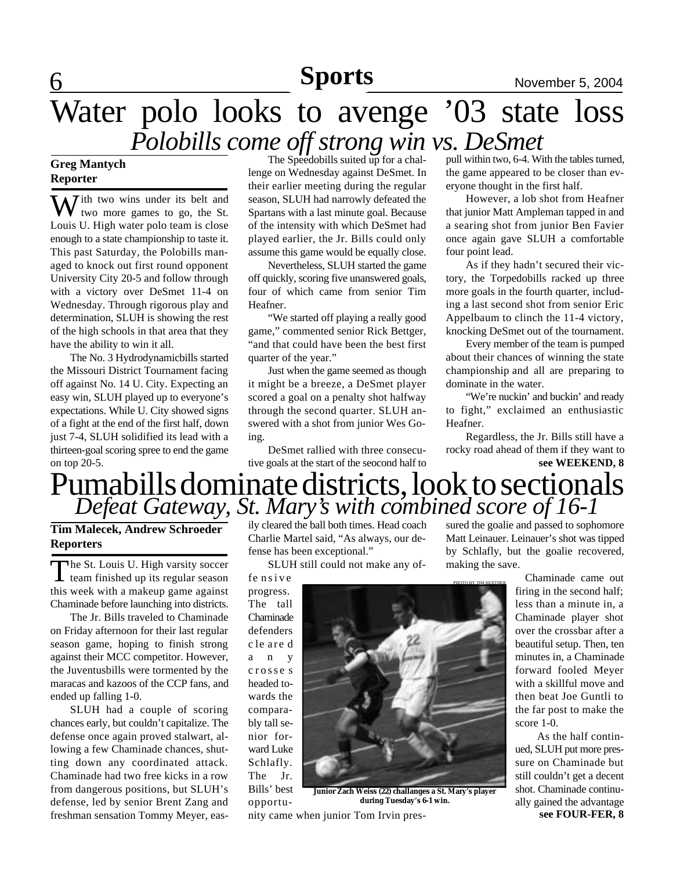## 6 **Sports News** November 5, 2004 **Sports**

# Water polo looks to avenge '03 state loss *Polobills come off strong win vs. DeSmet*

## **Greg Mantych Reporter**

 $\sum$  *T* ith two wins under its belt and **V** two more games to go, the St. Louis U. High water polo team is close enough to a state championship to taste it. This past Saturday, the Polobills managed to knock out first round opponent University City 20-5 and follow through with a victory over DeSmet 11-4 on Wednesday. Through rigorous play and determination, SLUH is showing the rest of the high schools in that area that they have the ability to win it all.

The No. 3 Hydrodynamicbills started the Missouri District Tournament facing off against No. 14 U. City. Expecting an easy win, SLUH played up to everyone's expectations. While U. City showed signs of a fight at the end of the first half, down just 7-4, SLUH solidified its lead with a thirteen-goal scoring spree to end the game on top 20-5.

The Speedobills suited up for a challenge on Wednesday against DeSmet. In their earlier meeting during the regular season, SLUH had narrowly defeated the Spartans with a last minute goal. Because of the intensity with which DeSmet had played earlier, the Jr. Bills could only assume this game would be equally close.

Nevertheless, SLUH started the game off quickly, scoring five unanswered goals, four of which came from senior Tim Heafner.

"We started off playing a really good game," commented senior Rick Bettger, "and that could have been the best first quarter of the year."

Just when the game seemed as though it might be a breeze, a DeSmet player scored a goal on a penalty shot halfway through the second quarter. SLUH answered with a shot from junior Wes Going.

DeSmet rallied with three consecutive goals at the start of the seocond half to pull within two, 6-4. With the tables turned, the game appeared to be closer than everyone thought in the first half.

However, a lob shot from Heafner that junior Matt Ampleman tapped in and a searing shot from junior Ben Favier once again gave SLUH a comfortable four point lead.

As if they hadn't secured their victory, the Torpedobills racked up three more goals in the fourth quarter, including a last second shot from senior Eric Appelbaum to clinch the 11-4 victory, knocking DeSmet out of the tournament.

Every member of the team is pumped about their chances of winning the state championship and all are preparing to dominate in the water.

"We're nuckin' and buckin' and ready to fight," exclaimed an enthusiastic Heafner.

Regardless, the Jr. Bills still have a rocky road ahead of them if they want to **see WEEKEND, 8**

# Pumabills dominate districts, look to sectionals *Defeat Gateway, St. Mary's with combined score of 16-1*

## **Tim Malecek, Andrew Schroeder Reporters**

The St. Louis U. High varsity soccer<br>team finished up its regular season The St. Louis U. High varsity soccer this week with a makeup game against Chaminade before launching into districts.

The Jr. Bills traveled to Chaminade on Friday afternoon for their last regular season game, hoping to finish strong against their MCC competitor. However, the Juventusbills were tormented by the maracas and kazoos of the CCP fans, and ended up falling 1-0.

SLUH had a couple of scoring chances early, but couldn't capitalize. The defense once again proved stalwart, allowing a few Chaminade chances, shutting down any coordinated attack. Chaminade had two free kicks in a row from dangerous positions, but SLUH's defense, led by senior Brent Zang and freshman sensation Tommy Meyer, easily cleared the ball both times. Head coach Charlie Martel said, "As always, our defense has been exceptional."

SLUH still could not make any of-

fe nsive progress. The tall Chaminade defenders c le are d a n y c rosse s headed towards the comparably tall senior forward Luke Schlafly. The Jr. Bills' best opportu-



**Junior Zach Weiss (22) challanges a St. Mary's player during Tuesday's 6-1 win.**

nity came when junior Tom Irvin pres-

sured the goalie and passed to sophomore Matt Leinauer. Leinauer's shot was tipped by Schlafly, but the goalie recovered, making the save.

> Chaminade came out firing in the second half; less than a minute in, a Chaminade player shot over the crossbar after a beautiful setup. Then, ten minutes in, a Chaminade forward fooled Meyer with a skillful move and then beat Joe Guntli to the far post to make the score 1-0.

**see FOUR-FER, 8** As the half continued, SLUH put more pressure on Chaminade but still couldn't get a decent shot. Chaminade continually gained the advantage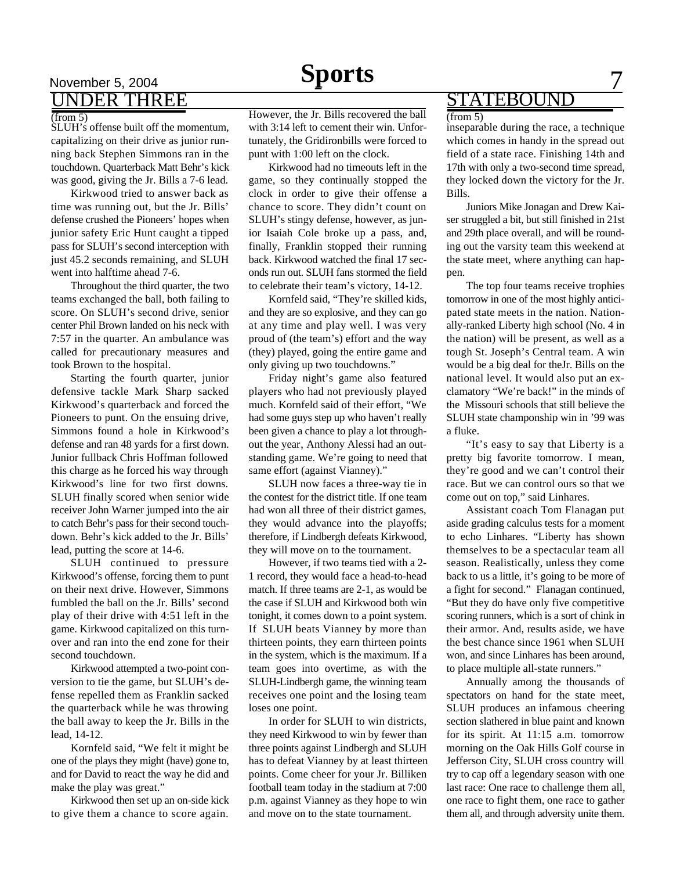## November 5, 2004 **Sports** 7 UNDER THREE

### (from 5)

SLUH's offense built off the momentum, capitalizing on their drive as junior running back Stephen Simmons ran in the touchdown. Quarterback Matt Behr's kick was good, giving the Jr. Bills a 7-6 lead.

Kirkwood tried to answer back as time was running out, but the Jr. Bills' defense crushed the Pioneers' hopes when junior safety Eric Hunt caught a tipped pass for SLUH's second interception with just 45.2 seconds remaining, and SLUH went into halftime ahead 7-6.

Throughout the third quarter, the two teams exchanged the ball, both failing to score. On SLUH's second drive, senior center Phil Brown landed on his neck with 7:57 in the quarter. An ambulance was called for precautionary measures and took Brown to the hospital.

Starting the fourth quarter, junior defensive tackle Mark Sharp sacked Kirkwood's quarterback and forced the Pioneers to punt. On the ensuing drive, Simmons found a hole in Kirkwood's defense and ran 48 yards for a first down. Junior fullback Chris Hoffman followed this charge as he forced his way through Kirkwood's line for two first downs. SLUH finally scored when senior wide receiver John Warner jumped into the air to catch Behr's pass for their second touchdown. Behr's kick added to the Jr. Bills' lead, putting the score at 14-6.

SLUH continued to pressure Kirkwood's offense, forcing them to punt on their next drive. However, Simmons fumbled the ball on the Jr. Bills' second play of their drive with 4:51 left in the game. Kirkwood capitalized on this turnover and ran into the end zone for their second touchdown.

Kirkwood attempted a two-point conversion to tie the game, but SLUH's defense repelled them as Franklin sacked the quarterback while he was throwing the ball away to keep the Jr. Bills in the lead, 14-12.

Kornfeld said, "We felt it might be one of the plays they might (have) gone to, and for David to react the way he did and make the play was great."

Kirkwood then set up an on-side kick to give them a chance to score again.

However, the Jr. Bills recovered the ball with 3:14 left to cement their win. Unfortunately, the Gridironbills were forced to punt with 1:00 left on the clock.

Kirkwood had no timeouts left in the game, so they continually stopped the clock in order to give their offense a chance to score. They didn't count on SLUH's stingy defense, however, as junior Isaiah Cole broke up a pass, and, finally, Franklin stopped their running back. Kirkwood watched the final 17 seconds run out. SLUH fans stormed the field to celebrate their team's victory, 14-12.

Kornfeld said, "They're skilled kids, and they are so explosive, and they can go at any time and play well. I was very proud of (the team's) effort and the way (they) played, going the entire game and only giving up two touchdowns."

Friday night's game also featured players who had not previously played much. Kornfeld said of their effort, "We had some guys step up who haven't really been given a chance to play a lot throughout the year, Anthony Alessi had an outstanding game. We're going to need that same effort (against Vianney)."

SLUH now faces a three-way tie in the contest for the district title. If one team had won all three of their district games, they would advance into the playoffs; therefore, if Lindbergh defeats Kirkwood, they will move on to the tournament.

However, if two teams tied with a 2- 1 record, they would face a head-to-head match. If three teams are 2-1, as would be the case if SLUH and Kirkwood both win tonight, it comes down to a point system. If SLUH beats Vianney by more than thirteen points, they earn thirteen points in the system, which is the maximum. If a team goes into overtime, as with the SLUH-Lindbergh game, the winning team receives one point and the losing team loses one point.

In order for SLUH to win districts, they need Kirkwood to win by fewer than three points against Lindbergh and SLUH has to defeat Vianney by at least thirteen points. Come cheer for your Jr. Billiken football team today in the stadium at 7:00 p.m. against Vianney as they hope to win and move on to the state tournament.

## STATEBOUND

### (from 5)

inseparable during the race, a technique which comes in handy in the spread out field of a state race. Finishing 14th and 17th with only a two-second time spread, they locked down the victory for the Jr. Bills.

Juniors Mike Jonagan and Drew Kaiser struggled a bit, but still finished in 21st and 29th place overall, and will be rounding out the varsity team this weekend at the state meet, where anything can happen.

The top four teams receive trophies tomorrow in one of the most highly anticipated state meets in the nation. Nationally-ranked Liberty high school (No. 4 in the nation) will be present, as well as a tough St. Joseph's Central team. A win would be a big deal for theJr. Bills on the national level. It would also put an exclamatory "We're back!" in the minds of the Missouri schools that still believe the SLUH state champonship win in '99 was a fluke.

"It's easy to say that Liberty is a pretty big favorite tomorrow. I mean, they're good and we can't control their race. But we can control ours so that we come out on top," said Linhares.

Assistant coach Tom Flanagan put aside grading calculus tests for a moment to echo Linhares. "Liberty has shown themselves to be a spectacular team all season. Realistically, unless they come back to us a little, it's going to be more of a fight for second." Flanagan continued, "But they do have only five competitive scoring runners, which is a sort of chink in their armor. And, results aside, we have the best chance since 1961 when SLUH won, and since Linhares has been around, to place multiple all-state runners."

Annually among the thousands of spectators on hand for the state meet, SLUH produces an infamous cheering section slathered in blue paint and known for its spirit. At 11:15 a.m. tomorrow morning on the Oak Hills Golf course in Jefferson City, SLUH cross country will try to cap off a legendary season with one last race: One race to challenge them all, one race to fight them, one race to gather them all, and through adversity unite them.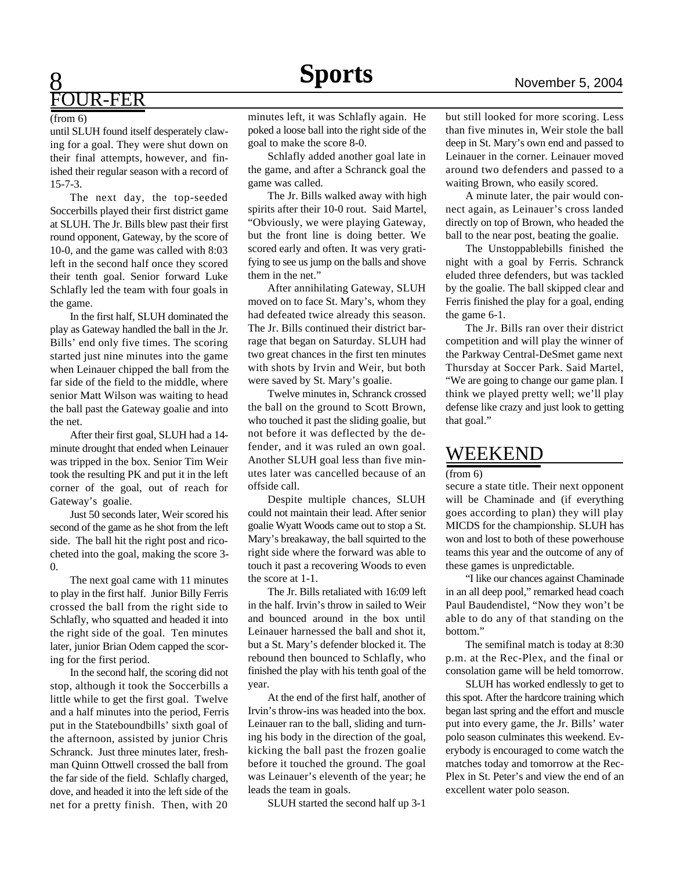## 8 FOUR-FER

### (from 6)

until SLUH found itself desperately clawing for a goal. They were shut down on their final attempts, however, and finished their regular season with a record of 15-7-3.

The next day, the top-seeded Soccerbills played their first district game at SLUH. The Jr. Bills blew past their first round opponent, Gateway, by the score of 10-0, and the game was called with 8:03 left in the second half once they scored their tenth goal. Senior forward Luke Schlafly led the team with four goals in the game.

In the first half, SLUH dominated the play as Gateway handled the ball in the Jr. Bills' end only five times. The scoring started just nine minutes into the game when Leinauer chipped the ball from the far side of the field to the middle, where senior Matt Wilson was waiting to head the ball past the Gateway goalie and into the net.

After their first goal, SLUH had a 14 minute drought that ended when Leinauer was tripped in the box. Senior Tim Weir took the resulting PK and put it in the left corner of the goal, out of reach for Gateway's goalie.

Just 50 seconds later, Weir scored his second of the game as he shot from the left side. The ball hit the right post and ricocheted into the goal, making the score 3- 0.

The next goal came with 11 minutes to play in the first half. Junior Billy Ferris crossed the ball from the right side to Schlafly, who squatted and headed it into the right side of the goal. Ten minutes later, junior Brian Odem capped the scoring for the first period.

In the second half, the scoring did not stop, although it took the Soccerbills a little while to get the first goal. Twelve and a half minutes into the period, Ferris put in the Stateboundbills' sixth goal of the afternoon, assisted by junior Chris Schranck. Just three minutes later, freshman Quinn Ottwell crossed the ball from the far side of the field. Schlafly charged, dove, and headed it into the left side of the net for a pretty finish. Then, with 20

minutes left, it was Schlafly again. He poked a loose ball into the right side of the goal to make the score 8-0.

Schlafly added another goal late in the game, and after a Schranck goal the game was called.

The Jr. Bills walked away with high spirits after their 10-0 rout. Said Martel, "Obviously, we were playing Gateway, but the front line is doing better. We scored early and often. It was very gratifying to see us jump on the balls and shove them in the net."

After annihilating Gateway, SLUH moved on to face St. Mary's, whom they had defeated twice already this season. The Jr. Bills continued their district barrage that began on Saturday. SLUH had two great chances in the first ten minutes with shots by Irvin and Weir, but both were saved by St. Mary's goalie.

Twelve minutes in, Schranck crossed the ball on the ground to Scott Brown, who touched it past the sliding goalie, but not before it was deflected by the defender, and it was ruled an own goal. Another SLUH goal less than five minutes later was cancelled because of an offside call.

Despite multiple chances, SLUH could not maintain their lead. After senior goalie Wyatt Woods came out to stop a St. Mary's breakaway, the ball squirted to the right side where the forward was able to touch it past a recovering Woods to even the score at 1-1.

The Jr. Bills retaliated with 16:09 left in the half. Irvin's throw in sailed to Weir and bounced around in the box until Leinauer harnessed the ball and shot it, but a St. Mary's defender blocked it. The rebound then bounced to Schlafly, who finished the play with his tenth goal of the year.

At the end of the first half, another of Irvin's throw-ins was headed into the box. Leinauer ran to the ball, sliding and turning his body in the direction of the goal, kicking the ball past the frozen goalie before it touched the ground. The goal was Leinauer's eleventh of the year; he leads the team in goals.

SLUH started the second half up 3-1

but still looked for more scoring. Less than five minutes in, Weir stole the ball deep in St. Mary's own end and passed to Leinauer in the corner. Leinauer moved around two defenders and passed to a waiting Brown, who easily scored.

A minute later, the pair would connect again, as Leinauer's cross landed directly on top of Brown, who headed the ball to the near post, beating the goalie.

The Unstoppablebills finished the night with a goal by Ferris. Schranck eluded three defenders, but was tackled by the goalie. The ball skipped clear and Ferris finished the play for a goal, ending the game 6-1.

The Jr. Bills ran over their district competition and will play the winner of the Parkway Central-DeSmet game next Thursday at Soccer Park. Said Martel, "We are going to change our game plan. I think we played pretty well; we'll play defense like crazy and just look to getting that goal."

## WEEKEND

(from 6)

secure a state title. Their next opponent will be Chaminade and (if everything goes according to plan) they will play MICDS for the championship. SLUH has won and lost to both of these powerhouse teams this year and the outcome of any of these games is unpredictable.

"I like our chances against Chaminade in an all deep pool," remarked head coach Paul Baudendistel, "Now they won't be able to do any of that standing on the bottom."

The semifinal match is today at 8:30 p.m. at the Rec-Plex, and the final or consolation game will be held tomorrow.

SLUH has worked endlessly to get to this spot. After the hardcore training which began last spring and the effort and muscle put into every game, the Jr. Bills' water polo season culminates this weekend. Everybody is encouraged to come watch the matches today and tomorrow at the Rec-Plex in St. Peter's and view the end of an excellent water polo season.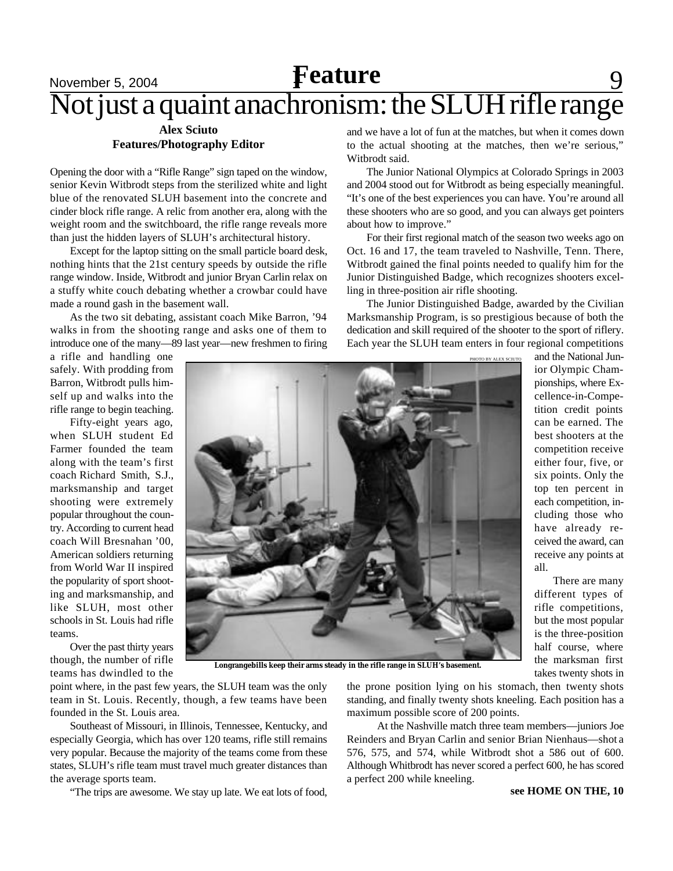# **Feature** 9 Not just a quaint anachronism: the SLUH rifle range

## **Alex Sciuto Features/Photography Editor**

Opening the door with a "Rifle Range" sign taped on the window, senior Kevin Witbrodt steps from the sterilized white and light blue of the renovated SLUH basement into the concrete and cinder block rifle range. A relic from another era, along with the weight room and the switchboard, the rifle range reveals more than just the hidden layers of SLUH's architectural history.

Except for the laptop sitting on the small particle board desk, nothing hints that the 21st century speeds by outside the rifle range window. Inside, Witbrodt and junior Bryan Carlin relax on a stuffy white couch debating whether a crowbar could have made a round gash in the basement wall.

As the two sit debating, assistant coach Mike Barron, '94 walks in from the shooting range and asks one of them to introduce one of the many—89 last year—new freshmen to firing and we have a lot of fun at the matches, but when it comes down to the actual shooting at the matches, then we're serious," Witbrodt said.

The Junior National Olympics at Colorado Springs in 2003 and 2004 stood out for Witbrodt as being especially meaningful. "It's one of the best experiences you can have. You're around all these shooters who are so good, and you can always get pointers about how to improve."

For their first regional match of the season two weeks ago on Oct. 16 and 17, the team traveled to Nashville, Tenn. There, Witbrodt gained the final points needed to qualify him for the Junior Distinguished Badge, which recognizes shooters excelling in three-position air rifle shooting.

The Junior Distinguished Badge, awarded by the Civilian Marksmanship Program, is so prestigious because of both the dedication and skill required of the shooter to the sport of riflery. Each year the SLUH team enters in four regional competitions

a rifle and handling one safely. With prodding from Barron, Witbrodt pulls himself up and walks into the rifle range to begin teaching.

Fifty-eight years ago, when SLUH student Ed Farmer founded the team along with the team's first coach Richard Smith, S.J., marksmanship and target shooting were extremely popular throughout the country. According to current head coach Will Bresnahan '00, American soldiers returning from World War II inspired the popularity of sport shooting and marksmanship, and like SLUH, most other schools in St. Louis had rifle teams.

Over the past thirty years though, the number of rifle teams has dwindled to the



**Longrangebills keep their arms steady in the rifle range in SLUH's basement.**

point where, in the past few years, the SLUH team was the only team in St. Louis. Recently, though, a few teams have been founded in the St. Louis area.

Southeast of Missouri, in Illinois, Tennessee, Kentucky, and especially Georgia, which has over 120 teams, rifle still remains very popular. Because the majority of the teams come from these states, SLUH's rifle team must travel much greater distances than the average sports team.

"The trips are awesome. We stay up late. We eat lots of food,

the prone position lying on his stomach, then twenty shots standing, and finally twenty shots kneeling. Each position has a maximum possible score of 200 points.

 At the Nashville match three team members—juniors Joe Reinders and Bryan Carlin and senior Brian Nienhaus—shot a 576, 575, and 574, while Witbrodt shot a 586 out of 600. Although Whitbrodt has never scored a perfect 600, he has scored a perfect 200 while kneeling.

and the National Junior Olympic Championships, where Excellence-in-Competition credit points can be earned. The best shooters at the competition receive either four, five, or six points. Only the top ten percent in each competition, including those who have already received the award, can receive any points at all.

 There are many different types of rifle competitions, but the most popular is the three-position half course, where the marksman first takes twenty shots in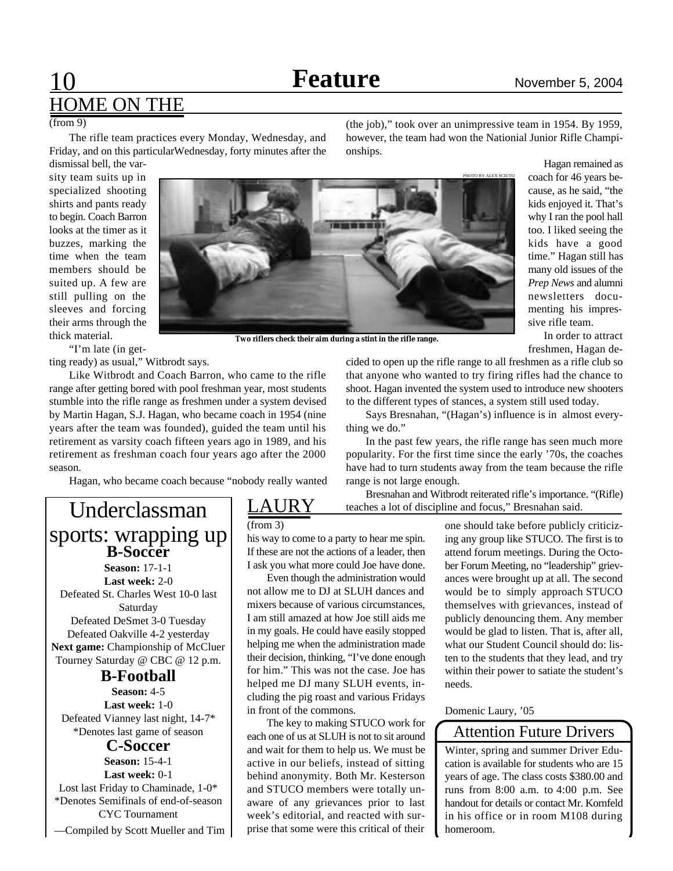# 10 **Feature** November 5, 2004 HOME ON THE

### (from 9)

The rifle team practices every Monday, Wednesday, and Friday, and on this particularWednesday, forty minutes after the (the job)," took over an unimpressive team in 1954. By 1959, however, the team had won the Nationial Junior Rifle Championships.

dismissal bell, the varsity team suits up in specialized shooting shirts and pants ready to begin. Coach Barron looks at the timer as it buzzes, marking the time when the team members should be suited up. A few are still pulling on the sleeves and forcing their arms through the thick material.

"I'm late (in get-

ting ready) as usual," Witbrodt says.

Like Witbrodt and Coach Barron, who came to the rifle range after getting bored with pool freshman year, most students stumble into the rifle range as freshmen under a system devised by Martin Hagan, S.J. Hagan, who became coach in 1954 (nine years after the team was founded), guided the team until his retirement as varsity coach fifteen years ago in 1989, and his retirement as freshman coach four years ago after the 2000 season.

Hagan, who became coach because "nobody really wanted

## Underclassman sports: wrapping up **B-Soccer**

**Season:** 17-1-1 **Last week:** 2-0 Defeated St. Charles West 10-0 last Saturday Defeated DeSmet 3-0 Tuesday Defeated Oakville 4-2 yesterday **Next game:** Championship of McCluer Tourney Saturday @ CBC @ 12 p.m.

## **B-Football**

**Season:** 4-5 **Last week:** 1-0 Defeated Vianney last night, 14-7\* \*Denotes last game of season

## **C-Soccer**

**Season:** 15-4-1 **Last week:** 0-1 Lost last Friday to Chaminade, 1-0\* \*Denotes Semifinals of end-of-season CYC Tournament —Compiled by Scott Mueller and Tim

## **AURY**

(from 3)

his way to come to a party to hear me spin. If these are not the actions of a leader, then I ask you what more could Joe have done.

Even though the administration would not allow me to DJ at SLUH dances and mixers because of various circumstances, I am still amazed at how Joe still aids me in my goals. He could have easily stopped helping me when the administration made their decision, thinking, "I've done enough for him." This was not the case. Joe has helped me DJ many SLUH events, including the pig roast and various Fridays in front of the commons.

The key to making STUCO work for each one of us at SLUH is not to sit around and wait for them to help us. We must be active in our beliefs, instead of sitting behind anonymity. Both Mr. Kesterson and STUCO members were totally unaware of any grievances prior to last week's editorial, and reacted with surprise that some were this critical of their

Hagan remained as coach for 46 years because, as he said, "the kids enjoyed it. That's why I ran the pool hall too. I liked seeing the kids have a good time." Hagan still has many old issues of the *Prep News* and alumni newsletters documenting his impressive rifle team.

In order to attract freshmen, Hagan de-

cided to open up the rifle range to all freshmen as a rifle club so that anyone who wanted to try firing rifles had the chance to shoot. Hagan invented the system used to introduce new shooters to the different types of stances, a system still used today.

Says Bresnahan, "(Hagan's) influence is in almost everything we do."

In the past few years, the rifle range has seen much more popularity. For the first time since the early '70s, the coaches have had to turn students away from the team because the rifle range is not large enough.

Bresnahan and Witbrodt reiterated rifle's importance. "(Rifle) teaches a lot of discipline and focus," Bresnahan said.

> one should take before publicly criticizing any group like STUCO. The first is to attend forum meetings. During the October Forum Meeting, no "leadership" grievances were brought up at all. The second would be to simply approach STUCO themselves with grievances, instead of publicly denouncing them. Any member would be glad to listen. That is, after all, what our Student Council should do: listen to the students that they lead, and try within their power to satiate the student's needs.

Domenic Laury, '05

## Attention Future Drivers

Winter, spring and summer Driver Education is available for students who are 15 years of age. The class costs \$380.00 and runs from 8:00 a.m. to 4:00 p.m. See handout for details or contact Mr. Kornfeld in his office or in room M108 during homeroom.



**Two riflers check their aim during a stint in the rifle range.**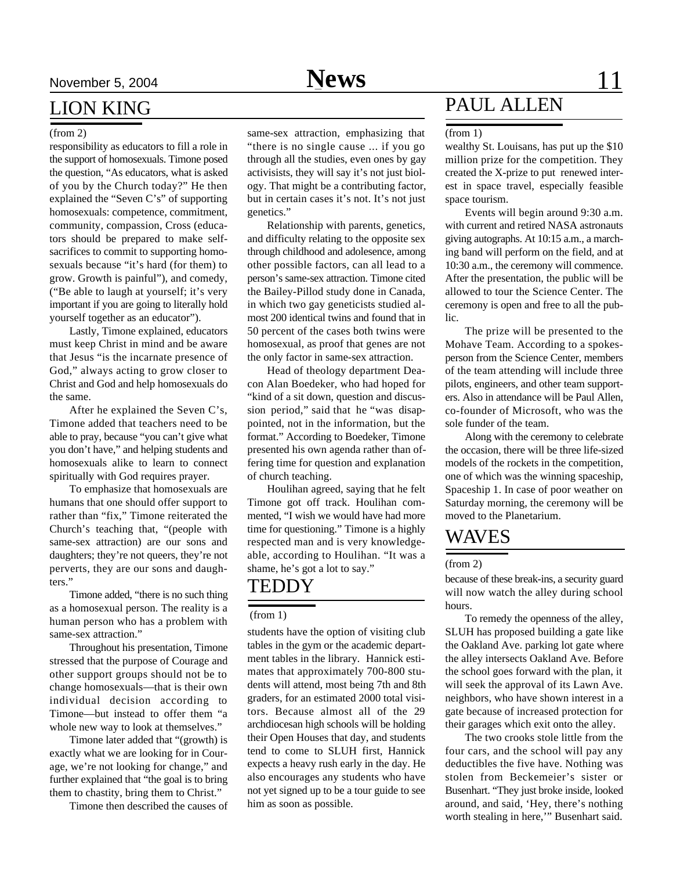## LION KING

responsibility as educators to fill a role in the support of homosexuals. Timone posed the question, "As educators, what is asked of you by the Church today?" He then explained the "Seven C's" of supporting homosexuals: competence, commitment, community, compassion, Cross (educators should be prepared to make selfsacrifices to commit to supporting homosexuals because "it's hard (for them) to grow. Growth is painful"), and comedy, ("Be able to laugh at yourself; it's very important if you are going to literally hold yourself together as an educator").

Lastly, Timone explained, educators must keep Christ in mind and be aware that Jesus "is the incarnate presence of God," always acting to grow closer to Christ and God and help homosexuals do the same.

After he explained the Seven C's, Timone added that teachers need to be able to pray, because "you can't give what you don't have," and helping students and homosexuals alike to learn to connect spiritually with God requires prayer.

To emphasize that homosexuals are humans that one should offer support to rather than "fix," Timone reiterated the Church's teaching that, "(people with same-sex attraction) are our sons and daughters; they're not queers, they're not perverts, they are our sons and daughters."

Timone added, "there is no such thing as a homosexual person. The reality is a human person who has a problem with same-sex attraction."

Throughout his presentation, Timone stressed that the purpose of Courage and other support groups should not be to change homosexuals—that is their own individual decision according to Timone—but instead to offer them "a whole new way to look at themselves."

Timone later added that "(growth) is exactly what we are looking for in Courage, we're not looking for change," and further explained that "the goal is to bring them to chastity, bring them to Christ."

Timone then described the causes of

(from 2) same-sex attraction, emphasizing that "there is no single cause ... if you go through all the studies, even ones by gay activisists, they will say it's not just biology. That might be a contributing factor, but in certain cases it's not. It's not just genetics."

> Relationship with parents, genetics, and difficulty relating to the opposite sex through childhood and adolesence, among other possible factors, can all lead to a person's same-sex attraction. Timone cited the Bailey-Pillod study done in Canada, in which two gay geneticists studied almost 200 identical twins and found that in 50 percent of the cases both twins were homosexual, as proof that genes are not the only factor in same-sex attraction.

> Head of theology department Deacon Alan Boedeker, who had hoped for "kind of a sit down, question and discussion period," said that he "was disappointed, not in the information, but the format." According to Boedeker, Timone presented his own agenda rather than offering time for question and explanation of church teaching.

> Houlihan agreed, saying that he felt Timone got off track. Houlihan commented, "I wish we would have had more time for questioning." Timone is a highly respected man and is very knowledgeable, according to Houlihan. "It was a shame, he's got a lot to say."

## **TEDDY**

### (from 1)

students have the option of visiting club tables in the gym or the academic department tables in the library. Hannick estimates that approximately 700-800 students will attend, most being 7th and 8th graders, for an estimated 2000 total visitors. Because almost all of the 29 archdiocesan high schools will be holding their Open Houses that day, and students tend to come to SLUH first, Hannick expects a heavy rush early in the day. He also encourages any students who have not yet signed up to be a tour guide to see him as soon as possible.

# PAUL ALLEN

### (from 1)

wealthy St. Louisans, has put up the \$10 million prize for the competition. They created the X-prize to put renewed interest in space travel, especially feasible space tourism.

Events will begin around 9:30 a.m. with current and retired NASA astronauts giving autographs. At 10:15 a.m., a marching band will perform on the field, and at 10:30 a.m., the ceremony will commence. After the presentation, the public will be allowed to tour the Science Center. The ceremony is open and free to all the public.

The prize will be presented to the Mohave Team. According to a spokesperson from the Science Center, members of the team attending will include three pilots, engineers, and other team supporters. Also in attendance will be Paul Allen, co-founder of Microsoft, who was the sole funder of the team.

Along with the ceremony to celebrate the occasion, there will be three life-sized models of the rockets in the competition, one of which was the winning spaceship, Spaceship 1. In case of poor weather on Saturday morning, the ceremony will be moved to the Planetarium.

## WAVES

### (from 2)

because of these break-ins, a security guard will now watch the alley during school hours.

To remedy the openness of the alley, SLUH has proposed building a gate like the Oakland Ave. parking lot gate where the alley intersects Oakland Ave. Before the school goes forward with the plan, it will seek the approval of its Lawn Ave. neighbors, who have shown interest in a gate because of increased protection for their garages which exit onto the alley.

The two crooks stole little from the four cars, and the school will pay any deductibles the five have. Nothing was stolen from Beckemeier's sister or Busenhart. "They just broke inside, looked around, and said, 'Hey, there's nothing worth stealing in here,'" Busenhart said.